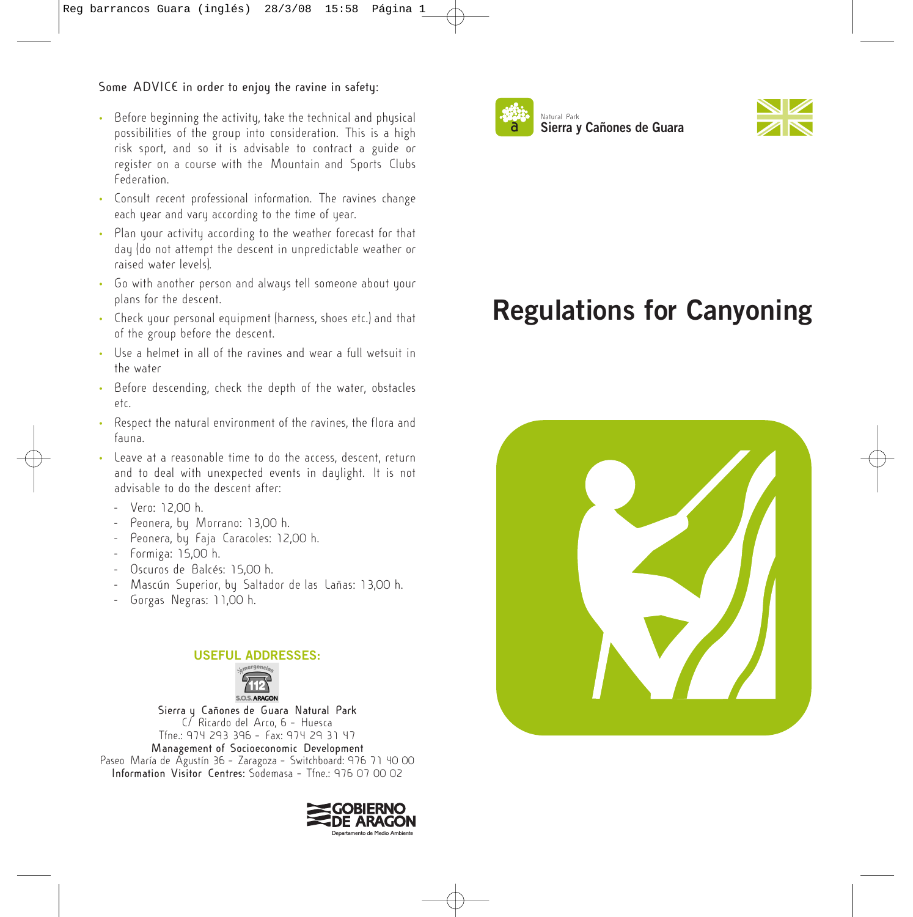## **Some ADVICE in order to enjoy the ravine in safety:**

- Before beginning the activity, take the technical and physical possibilities of the group into consideration. This is a high risk sport, and so it is advisable to contract a guide or register on a course with the Mountain and Sports Clubs Federation.
- Consult recent professional information. The ravines change each year and vary according to the time of year.
- Plan your activity according to the weather forecast for that day (do not attempt the descent in unpredictable weather or raised water levels).
- Go with another person and always tell someone about your plans for the descent.
- Check your personal equipment (harness, shoes etc.) and that of the group before the descent.
- Use a helmet in all of the ravines and wear a full wetsuit in the water
- Before descending, check the depth of the water, obstacles etc.
- Respect the natural environment of the ravines, the flora and fauna.
- Leave at a reasonable time to do the access, descent, return and to deal with unexpected events in daylight. It is not advisable to do the descent after:
	- Vero: 12,00 h.
	- Peonera, by Morrano: 13,00 h.
	- Peonera, by Faja Caracoles: 12,00 h.
	- Formiga: 15,00 h.
	- Oscuros de Balcés: 15,00 h.
	- Mascún Superior, by Saltador de las Lañas: 13,00 h.
	- Gorgas Negras: 11,00 h.

## **USEFUL ADDRESSES:**



**Sierra y Cañones de Guara Natural Park** C/ Ricardo del Arco, 6 – Huesca Tfne.: 974 293 396 – Fax: 974 29 31 47 **Management of Socioeconomic Development** Paseo María de Agustín 36 – Zaragoza – Switchboard: 976 71 40 00

**Information Visitor Centres:** Sodemasa – Tfne.: 976 07 00 02







## **Regulations for Canyoning**